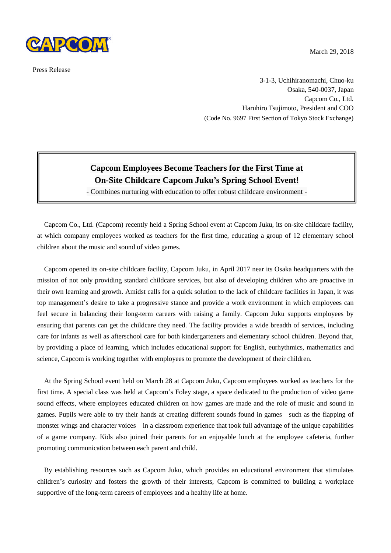

Press Release

March 29, 2018

3-1-3, Uchihiranomachi, Chuo-ku Osaka, 540-0037, Japan Capcom Co., Ltd. Haruhiro Tsujimoto, President and COO (Code No. 9697 First Section of Tokyo Stock Exchange)

## **Capcom Employees Become Teachers for the First Time at On-Site Childcare Capcom Juku's Spring School Event!**

- Combines nurturing with education to offer robust childcare environment -

Capcom Co., Ltd. (Capcom) recently held a Spring School event at Capcom Juku, its on-site childcare facility, at which company employees worked as teachers for the first time, educating a group of 12 elementary school children about the music and sound of video games.

Capcom opened its on-site childcare facility, Capcom Juku, in April 2017 near its Osaka headquarters with the mission of not only providing standard childcare services, but also of developing children who are proactive in their own learning and growth. Amidst calls for a quick solution to the lack of childcare facilities in Japan, it was top management's desire to take a progressive stance and provide a work environment in which employees can feel secure in balancing their long-term careers with raising a family. Capcom Juku supports employees by ensuring that parents can get the childcare they need. The facility provides a wide breadth of services, including care for infants as well as afterschool care for both kindergarteners and elementary school children. Beyond that, by providing a place of learning, which includes educational support for English, eurhythmics, mathematics and science, Capcom is working together with employees to promote the development of their children.

At the Spring School event held on March 28 at Capcom Juku, Capcom employees worked as teachers for the first time. A special class was held at Capcom's Foley stage, a space dedicated to the production of video game sound effects, where employees educated children on how games are made and the role of music and sound in games. Pupils were able to try their hands at creating different sounds found in games—such as the flapping of monster wings and character voices—in a classroom experience that took full advantage of the unique capabilities of a game company. Kids also joined their parents for an enjoyable lunch at the employee cafeteria, further promoting communication between each parent and child.

By establishing resources such as Capcom Juku, which provides an educational environment that stimulates children's curiosity and fosters the growth of their interests, Capcom is committed to building a workplace supportive of the long-term careers of employees and a healthy life at home.